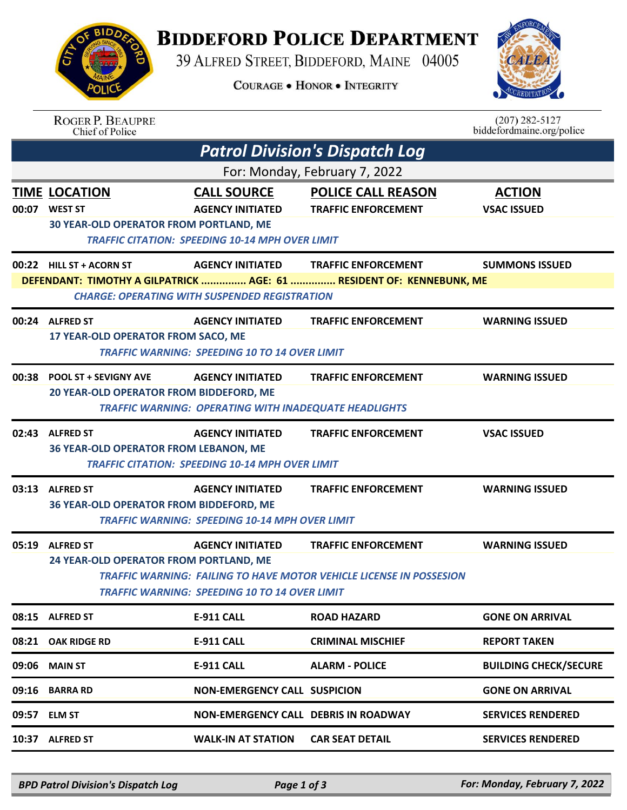## **BIDDEFORD POLICE DEPARTMENT**

39 ALFRED STREET, BIDDEFORD, MAINE 04005

**COURAGE . HONOR . INTEGRITY** 



|                                       | <b>ROGER P. BEAUPRE</b><br>Chief of Police                                             |                                                                                                         |                                                                                                          | $(207)$ 282-5127<br>biddefordmaine.org/police |  |  |  |  |
|---------------------------------------|----------------------------------------------------------------------------------------|---------------------------------------------------------------------------------------------------------|----------------------------------------------------------------------------------------------------------|-----------------------------------------------|--|--|--|--|
| <b>Patrol Division's Dispatch Log</b> |                                                                                        |                                                                                                         |                                                                                                          |                                               |  |  |  |  |
| For: Monday, February 7, 2022         |                                                                                        |                                                                                                         |                                                                                                          |                                               |  |  |  |  |
|                                       | <b>TIME LOCATION</b><br>00:07 WEST ST<br><b>30 YEAR-OLD OPERATOR FROM PORTLAND, ME</b> | <b>CALL SOURCE</b><br><b>AGENCY INITIATED</b><br><b>TRAFFIC CITATION: SPEEDING 10-14 MPH OVER LIMIT</b> | <b>POLICE CALL REASON</b><br><b>TRAFFIC ENFORCEMENT</b>                                                  | <b>ACTION</b><br><b>VSAC ISSUED</b>           |  |  |  |  |
|                                       | 00:22 HILL ST + ACORN ST                                                               | <b>AGENCY INITIATED</b><br><b>CHARGE: OPERATING WITH SUSPENDED REGISTRATION</b>                         | <b>TRAFFIC ENFORCEMENT</b><br>DEFENDANT: TIMOTHY A GILPATRICK  AGE: 61  RESIDENT OF: KENNEBUNK, ME       | <b>SUMMONS ISSUED</b>                         |  |  |  |  |
|                                       | 00:24 ALFRED ST<br>17 YEAR-OLD OPERATOR FROM SACO, ME                                  | <b>AGENCY INITIATED</b><br><b>TRAFFIC WARNING: SPEEDING 10 TO 14 OVER LIMIT</b>                         | <b>TRAFFIC ENFORCEMENT</b>                                                                               | <b>WARNING ISSUED</b>                         |  |  |  |  |
| 00:38                                 | <b>POOL ST + SEVIGNY AVE</b><br>20 YEAR-OLD OPERATOR FROM BIDDEFORD, ME                | <b>AGENCY INITIATED</b><br><b>TRAFFIC WARNING: OPERATING WITH INADEQUATE HEADLIGHTS</b>                 | <b>TRAFFIC ENFORCEMENT</b>                                                                               | <b>WARNING ISSUED</b>                         |  |  |  |  |
|                                       | 02:43 ALFRED ST<br>36 YEAR-OLD OPERATOR FROM LEBANON, ME                               | <b>AGENCY INITIATED</b><br><b>TRAFFIC CITATION: SPEEDING 10-14 MPH OVER LIMIT</b>                       | <b>TRAFFIC ENFORCEMENT</b>                                                                               | <b>VSAC ISSUED</b>                            |  |  |  |  |
| 03:13                                 | <b>ALFRED ST</b><br><b>36 YEAR-OLD OPERATOR FROM BIDDEFORD, ME</b>                     | <b>AGENCY INITIATED</b><br><b>TRAFFIC WARNING: SPEEDING 10-14 MPH OVER LIMIT</b>                        | <b>TRAFFIC ENFORCEMENT</b>                                                                               | <b>WARNING ISSUED</b>                         |  |  |  |  |
|                                       | 05:19 ALFRED ST<br>24 YEAR-OLD OPERATOR FROM PORTLAND, ME                              | <b>AGENCY INITIATED</b><br><b>TRAFFIC WARNING: SPEEDING 10 TO 14 OVER LIMIT</b>                         | <b>TRAFFIC ENFORCEMENT</b><br><b>TRAFFIC WARNING: FAILING TO HAVE MOTOR VEHICLE LICENSE IN POSSESION</b> | <b>WARNING ISSUED</b>                         |  |  |  |  |
| 08:15                                 | <b>ALFRED ST</b>                                                                       | <b>E-911 CALL</b>                                                                                       | <b>ROAD HAZARD</b>                                                                                       | <b>GONE ON ARRIVAL</b>                        |  |  |  |  |
| 08:21                                 | <b>OAK RIDGE RD</b>                                                                    | <b>E-911 CALL</b>                                                                                       | <b>CRIMINAL MISCHIEF</b>                                                                                 | <b>REPORT TAKEN</b>                           |  |  |  |  |
| 09:06                                 | <b>MAIN ST</b>                                                                         | <b>E-911 CALL</b>                                                                                       | <b>ALARM - POLICE</b>                                                                                    | <b>BUILDING CHECK/SECURE</b>                  |  |  |  |  |
| 09:16                                 | <b>BARRA RD</b>                                                                        | <b>NON-EMERGENCY CALL SUSPICION</b>                                                                     |                                                                                                          | <b>GONE ON ARRIVAL</b>                        |  |  |  |  |
| 09:57                                 | <b>ELM ST</b>                                                                          | <b>NON-EMERGENCY CALL DEBRIS IN ROADWAY</b>                                                             |                                                                                                          | <b>SERVICES RENDERED</b>                      |  |  |  |  |
| 10:37                                 | <b>ALFRED ST</b>                                                                       | <b>WALK-IN AT STATION</b>                                                                               | <b>CAR SEAT DETAIL</b>                                                                                   | <b>SERVICES RENDERED</b>                      |  |  |  |  |
|                                       |                                                                                        |                                                                                                         |                                                                                                          |                                               |  |  |  |  |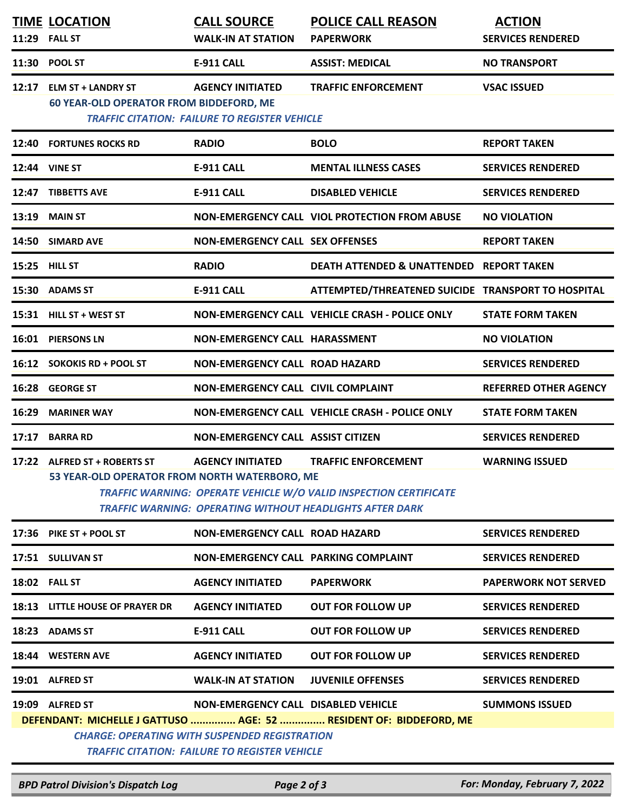|       | <b>TIME LOCATION</b><br>11:29 FALL ST                                                                                                                                                                                                                                                                          | <b>CALL SOURCE</b><br><b>WALK-IN AT STATION</b>                                                                                                            | <b>POLICE CALL REASON</b><br><b>PAPERWORK</b>                      | <b>ACTION</b><br><b>SERVICES RENDERED</b> |  |  |
|-------|----------------------------------------------------------------------------------------------------------------------------------------------------------------------------------------------------------------------------------------------------------------------------------------------------------------|------------------------------------------------------------------------------------------------------------------------------------------------------------|--------------------------------------------------------------------|-------------------------------------------|--|--|
|       | 11:30 POOL ST                                                                                                                                                                                                                                                                                                  | <b>E-911 CALL</b>                                                                                                                                          | <b>ASSIST: MEDICAL</b>                                             | <b>NO TRANSPORT</b>                       |  |  |
| 12:17 | <b>ELM ST + LANDRY ST</b><br><b>60 YEAR-OLD OPERATOR FROM BIDDEFORD, ME</b>                                                                                                                                                                                                                                    | <b>AGENCY INITIATED</b><br><b>TRAFFIC CITATION: FAILURE TO REGISTER VEHICLE</b>                                                                            | <b>TRAFFIC ENFORCEMENT</b>                                         | <b>VSAC ISSUED</b>                        |  |  |
| 12:40 | <b>FORTUNES ROCKS RD</b>                                                                                                                                                                                                                                                                                       | <b>RADIO</b>                                                                                                                                               | <b>BOLO</b>                                                        | <b>REPORT TAKEN</b>                       |  |  |
|       | <b>12:44 VINE ST</b>                                                                                                                                                                                                                                                                                           | <b>E-911 CALL</b>                                                                                                                                          | <b>MENTAL ILLNESS CASES</b>                                        | <b>SERVICES RENDERED</b>                  |  |  |
| 12:47 | <b>TIBBETTS AVE</b>                                                                                                                                                                                                                                                                                            | <b>E-911 CALL</b>                                                                                                                                          | <b>DISABLED VEHICLE</b>                                            | <b>SERVICES RENDERED</b>                  |  |  |
| 13:19 | <b>MAIN ST</b>                                                                                                                                                                                                                                                                                                 |                                                                                                                                                            | NON-EMERGENCY CALL VIOL PROTECTION FROM ABUSE                      | <b>NO VIOLATION</b>                       |  |  |
| 14:50 | <b>SIMARD AVE</b>                                                                                                                                                                                                                                                                                              | <b>NON-EMERGENCY CALL SEX OFFENSES</b>                                                                                                                     |                                                                    | <b>REPORT TAKEN</b>                       |  |  |
|       | 15:25 HILL ST                                                                                                                                                                                                                                                                                                  | <b>RADIO</b>                                                                                                                                               | DEATH ATTENDED & UNATTENDED REPORT TAKEN                           |                                           |  |  |
|       | 15:30 ADAMS ST                                                                                                                                                                                                                                                                                                 | <b>E-911 CALL</b>                                                                                                                                          | ATTEMPTED/THREATENED SUICIDE TRANSPORT TO HOSPITAL                 |                                           |  |  |
|       | 15:31 HILL ST + WEST ST                                                                                                                                                                                                                                                                                        |                                                                                                                                                            | <b>NON-EMERGENCY CALL VEHICLE CRASH - POLICE ONLY</b>              | <b>STATE FORM TAKEN</b>                   |  |  |
|       | 16:01 PIERSONS LN                                                                                                                                                                                                                                                                                              | NON-EMERGENCY CALL HARASSMENT                                                                                                                              |                                                                    | <b>NO VIOLATION</b>                       |  |  |
|       | 16:12 SOKOKIS RD + POOL ST                                                                                                                                                                                                                                                                                     | <b>NON-EMERGENCY CALL ROAD HAZARD</b>                                                                                                                      |                                                                    | <b>SERVICES RENDERED</b>                  |  |  |
|       | 16:28 GEORGE ST                                                                                                                                                                                                                                                                                                | <b>NON-EMERGENCY CALL CIVIL COMPLAINT</b>                                                                                                                  |                                                                    | <b>REFERRED OTHER AGENCY</b>              |  |  |
| 16:29 | <b>MARINER WAY</b>                                                                                                                                                                                                                                                                                             |                                                                                                                                                            | NON-EMERGENCY CALL VEHICLE CRASH - POLICE ONLY                     | <b>STATE FORM TAKEN</b>                   |  |  |
| 17:17 | <b>BARRA RD</b>                                                                                                                                                                                                                                                                                                | <b>NON-EMERGENCY CALL ASSIST CITIZEN</b>                                                                                                                   |                                                                    | <b>SERVICES RENDERED</b>                  |  |  |
|       | 17:22 ALFRED ST + ROBERTS ST<br><b>AGENCY INITIATED</b><br><b>TRAFFIC ENFORCEMENT</b><br><b>WARNING ISSUED</b><br>53 YEAR-OLD OPERATOR FROM NORTH WATERBORO, ME<br><b>TRAFFIC WARNING: OPERATE VEHICLE W/O VALID INSPECTION CERTIFICATE</b><br><b>TRAFFIC WARNING: OPERATING WITHOUT HEADLIGHTS AFTER DARK</b> |                                                                                                                                                            |                                                                    |                                           |  |  |
|       | 17:36 PIKE ST + POOL ST                                                                                                                                                                                                                                                                                        | <b>NON-EMERGENCY CALL ROAD HAZARD</b>                                                                                                                      |                                                                    | <b>SERVICES RENDERED</b>                  |  |  |
|       | 17:51 SULLIVAN ST                                                                                                                                                                                                                                                                                              | NON-EMERGENCY CALL PARKING COMPLAINT                                                                                                                       |                                                                    | <b>SERVICES RENDERED</b>                  |  |  |
|       | <b>18:02 FALL ST</b>                                                                                                                                                                                                                                                                                           | <b>AGENCY INITIATED</b>                                                                                                                                    | <b>PAPERWORK</b>                                                   | <b>PAPERWORK NOT SERVED</b>               |  |  |
|       | 18:13 LITTLE HOUSE OF PRAYER DR                                                                                                                                                                                                                                                                                | <b>AGENCY INITIATED</b>                                                                                                                                    | <b>OUT FOR FOLLOW UP</b>                                           | <b>SERVICES RENDERED</b>                  |  |  |
|       | 18:23 ADAMS ST                                                                                                                                                                                                                                                                                                 | <b>E-911 CALL</b>                                                                                                                                          | <b>OUT FOR FOLLOW UP</b>                                           | <b>SERVICES RENDERED</b>                  |  |  |
|       | 18:44 WESTERN AVE                                                                                                                                                                                                                                                                                              | <b>AGENCY INITIATED</b>                                                                                                                                    | <b>OUT FOR FOLLOW UP</b>                                           | <b>SERVICES RENDERED</b>                  |  |  |
|       | 19:01 ALFRED ST                                                                                                                                                                                                                                                                                                | <b>WALK-IN AT STATION</b>                                                                                                                                  | <b>JUVENILE OFFENSES</b>                                           | <b>SERVICES RENDERED</b>                  |  |  |
|       | 19:09 ALFRED ST                                                                                                                                                                                                                                                                                                | <b>NON-EMERGENCY CALL DISABLED VEHICLE</b><br><b>CHARGE: OPERATING WITH SUSPENDED REGISTRATION</b><br><b>TRAFFIC CITATION: FAILURE TO REGISTER VEHICLE</b> | DEFENDANT: MICHELLE J GATTUSO  AGE: 52  RESIDENT OF: BIDDEFORD, ME | <b>SUMMONS ISSUED</b>                     |  |  |